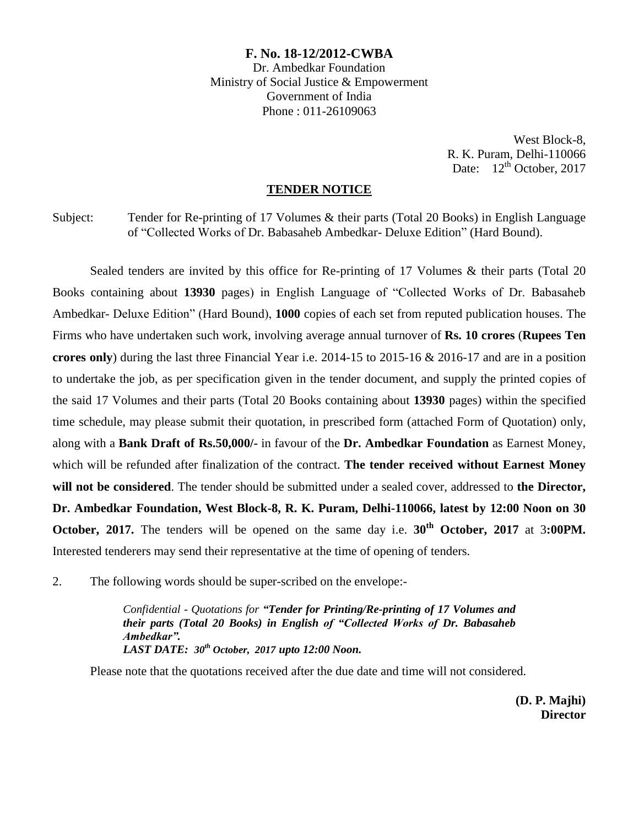### **F. No. 18-12/2012-CWBA**

Dr. Ambedkar Foundation Ministry of Social Justice & Empowerment Government of India Phone : 011-26109063

> West Block-8, R. K. Puram, Delhi-110066 Date:  $12^{th}$  October, 2017

#### **TENDER NOTICE**

Subject: Tender for Re-printing of 17 Volumes & their parts (Total 20 Books) in English Language of "Collected Works of Dr. Babasaheb Ambedkar- Deluxe Edition" (Hard Bound).

Sealed tenders are invited by this office for Re-printing of 17 Volumes & their parts (Total 20) Books containing about **13930** pages) in English Language of "Collected Works of Dr. Babasaheb Ambedkar- Deluxe Edition" (Hard Bound), **1000** copies of each set from reputed publication houses. The Firms who have undertaken such work, involving average annual turnover of **Rs. 10 crores** (**Rupees Ten crores only**) during the last three Financial Year i.e. 2014-15 to 2015-16 & 2016-17 and are in a position to undertake the job, as per specification given in the tender document, and supply the printed copies of the said 17 Volumes and their parts (Total 20 Books containing about **13930** pages) within the specified time schedule, may please submit their quotation, in prescribed form (attached Form of Quotation) only, along with a **Bank Draft of Rs.50,000/-** in favour of the **Dr. Ambedkar Foundation** as Earnest Money, which will be refunded after finalization of the contract. **The tender received without Earnest Money will not be considered**. The tender should be submitted under a sealed cover, addressed to **the Director, Dr. Ambedkar Foundation, West Block-8, R. K. Puram, Delhi-110066, latest by 12:00 Noon on 30 October, 2017.** The tenders will be opened on the same day i.e. **30th October, 2017** at 3**:00PM.** Interested tenderers may send their representative at the time of opening of tenders.

2. The following words should be super-scribed on the envelope:-

*Confidential - Quotations for "Tender for Printing/Re-printing of 17 Volumes and their parts (Total 20 Books) in English of "Collected Works of Dr. Babasaheb Ambedkar". LAST DATE: 30th October, 2017 upto 12:00 Noon.* 

Please note that the quotations received after the due date and time will not considered.

**(D. P. Majhi) Director**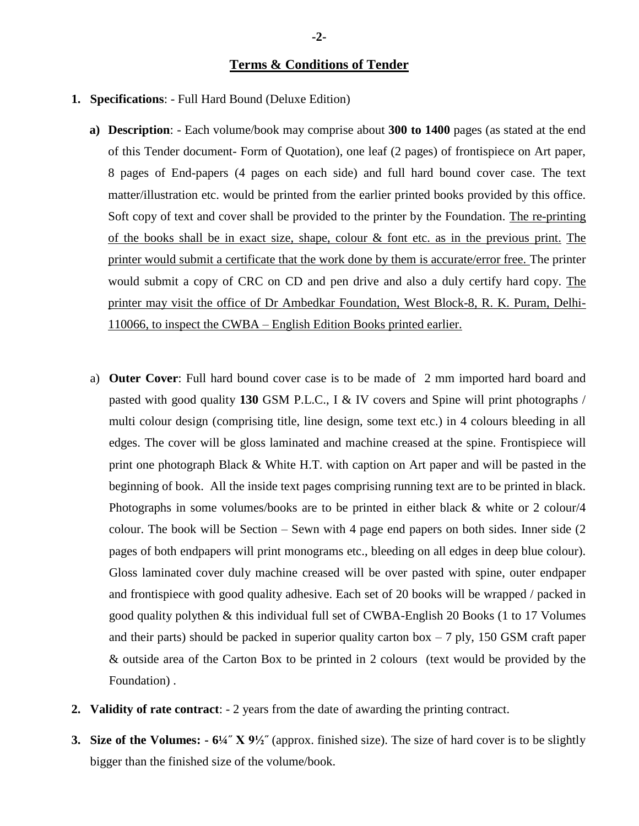### **Terms & Conditions of Tender**

- **1. Specifications**: Full Hard Bound (Deluxe Edition)
	- **a) Description**: Each volume/book may comprise about **300 to 1400** pages (as stated at the end of this Tender document- Form of Quotation), one leaf (2 pages) of frontispiece on Art paper, 8 pages of End-papers (4 pages on each side) and full hard bound cover case. The text matter/illustration etc. would be printed from the earlier printed books provided by this office. Soft copy of text and cover shall be provided to the printer by the Foundation. The re-printing of the books shall be in exact size, shape, colour & font etc. as in the previous print. The printer would submit a certificate that the work done by them is accurate/error free. The printer would submit a copy of CRC on CD and pen drive and also a duly certify hard copy. The printer may visit the office of Dr Ambedkar Foundation, West Block-8, R. K. Puram, Delhi-110066, to inspect the CWBA – English Edition Books printed earlier.
	- a) **Outer Cover**: Full hard bound cover case is to be made of 2 mm imported hard board and pasted with good quality **130** GSM P.L.C., I & IV covers and Spine will print photographs / multi colour design (comprising title, line design, some text etc.) in 4 colours bleeding in all edges. The cover will be gloss laminated and machine creased at the spine. Frontispiece will print one photograph Black & White H.T. with caption on Art paper and will be pasted in the beginning of book. All the inside text pages comprising running text are to be printed in black. Photographs in some volumes/books are to be printed in either black & white or 2 colour/4 colour. The book will be Section – Sewn with 4 page end papers on both sides. Inner side (2 pages of both endpapers will print monograms etc., bleeding on all edges in deep blue colour). Gloss laminated cover duly machine creased will be over pasted with spine, outer endpaper and frontispiece with good quality adhesive. Each set of 20 books will be wrapped / packed in good quality polythen & this individual full set of CWBA-English 20 Books (1 to 17 Volumes and their parts) should be packed in superior quality carton box  $-7$  ply, 150 GSM craft paper & outside area of the Carton Box to be printed in 2 colours (text would be provided by the Foundation) .
- **2. Validity of rate contract**: 2 years from the date of awarding the printing contract.
- **3. Size of the Volumes: - 6¼˝ X 9½˝** (approx. finished size). The size of hard cover is to be slightly bigger than the finished size of the volume/book.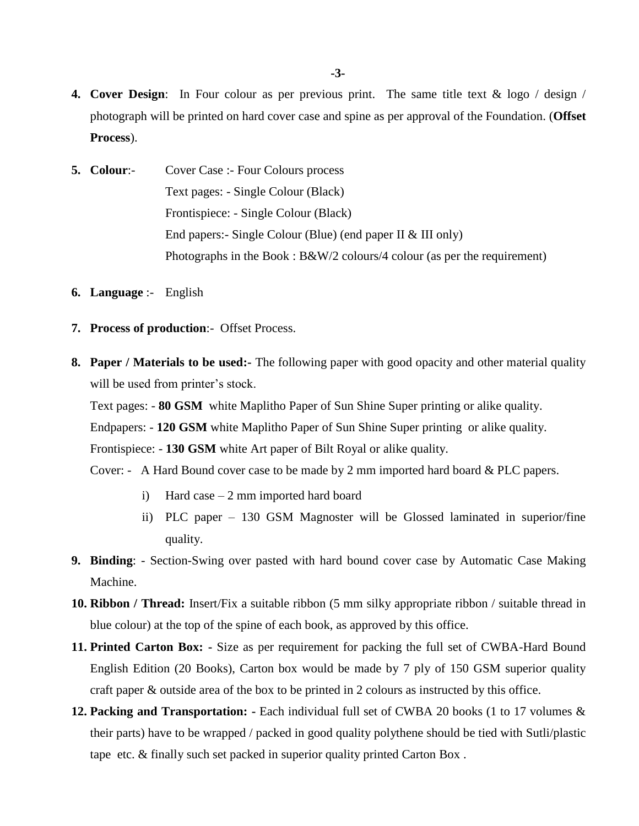- **4. Cover Design**: In Four colour as per previous print. The same title text & logo / design / photograph will be printed on hard cover case and spine as per approval of the Foundation. (**Offset Process**).
- **5. Colour**:- Cover Case :- Four Colours process Text pages: - Single Colour (Black) Frontispiece: - Single Colour (Black) End papers:- Single Colour (Blue) (end paper II & III only) Photographs in the Book : B&W/2 colours/4 colour (as per the requirement)
- **6. Language** :- English
- **7. Process of production**:- Offset Process.
- **8. Paper / Materials to be used:-** The following paper with good opacity and other material quality will be used from printer's stock.

Text pages: - **80 GSM** white Maplitho Paper of Sun Shine Super printing or alike quality.

Endpapers: - **120 GSM** white Maplitho Paper of Sun Shine Super printing or alike quality.

Frontispiece: - **130 GSM** white Art paper of Bilt Royal or alike quality.

Cover: - A Hard Bound cover case to be made by 2 mm imported hard board & PLC papers.

- i) Hard case 2 mm imported hard board
- ii) PLC paper 130 GSM Magnoster will be Glossed laminated in superior/fine quality.
- **9. Binding**: Section-Swing over pasted with hard bound cover case by Automatic Case Making Machine.
- **10. Ribbon / Thread:** Insert/Fix a suitable ribbon (5 mm silky appropriate ribbon / suitable thread in blue colour) at the top of the spine of each book, as approved by this office.
- **11. Printed Carton Box: -** Size as per requirement for packing the full set of CWBA-Hard Bound English Edition (20 Books), Carton box would be made by 7 ply of 150 GSM superior quality craft paper & outside area of the box to be printed in 2 colours as instructed by this office.
- **12. Packing and Transportation: -** Each individual full set of CWBA 20 books (1 to 17 volumes & their parts) have to be wrapped / packed in good quality polythene should be tied with Sutli/plastic tape etc. & finally such set packed in superior quality printed Carton Box .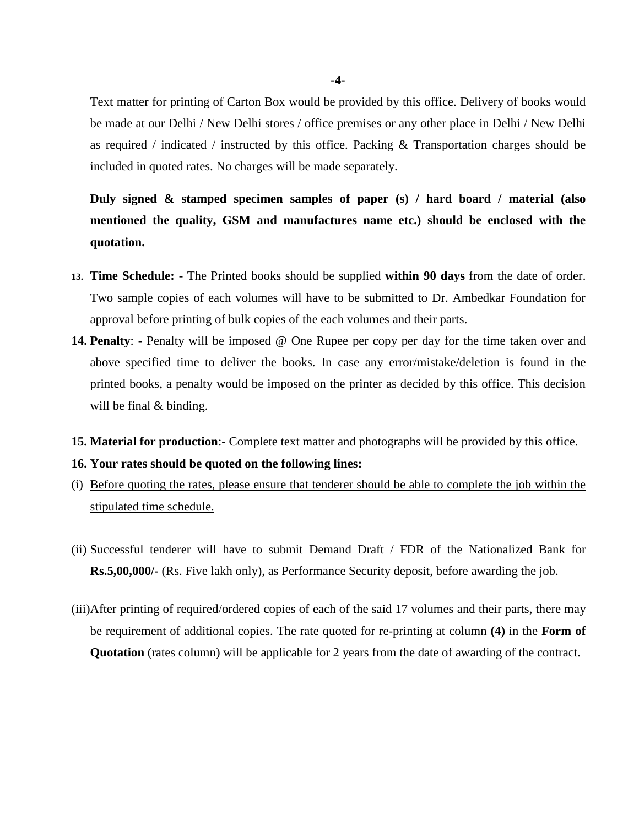Text matter for printing of Carton Box would be provided by this office. Delivery of books would be made at our Delhi / New Delhi stores / office premises or any other place in Delhi / New Delhi as required / indicated / instructed by this office. Packing  $\&$  Transportation charges should be included in quoted rates. No charges will be made separately.

**Duly signed & stamped specimen samples of paper (s) / hard board / material (also mentioned the quality, GSM and manufactures name etc.) should be enclosed with the quotation.** 

- **13. Time Schedule: -** The Printed books should be supplied **within 90 days** from the date of order. Two sample copies of each volumes will have to be submitted to Dr. Ambedkar Foundation for approval before printing of bulk copies of the each volumes and their parts.
- **14. Penalty**: Penalty will be imposed @ One Rupee per copy per day for the time taken over and above specified time to deliver the books. In case any error/mistake/deletion is found in the printed books, a penalty would be imposed on the printer as decided by this office. This decision will be final & binding.
- **15. Material for production**:- Complete text matter and photographs will be provided by this office.

#### **16. Your rates should be quoted on the following lines:**

- (i) Before quoting the rates, please ensure that tenderer should be able to complete the job within the stipulated time schedule.
- (ii) Successful tenderer will have to submit Demand Draft / FDR of the Nationalized Bank for **Rs.5,00,000/-** (Rs. Five lakh only), as Performance Security deposit, before awarding the job.
- (iii)After printing of required/ordered copies of each of the said 17 volumes and their parts, there may be requirement of additional copies. The rate quoted for re-printing at column **(4)** in the **Form of Quotation** (rates column) will be applicable for 2 years from the date of awarding of the contract.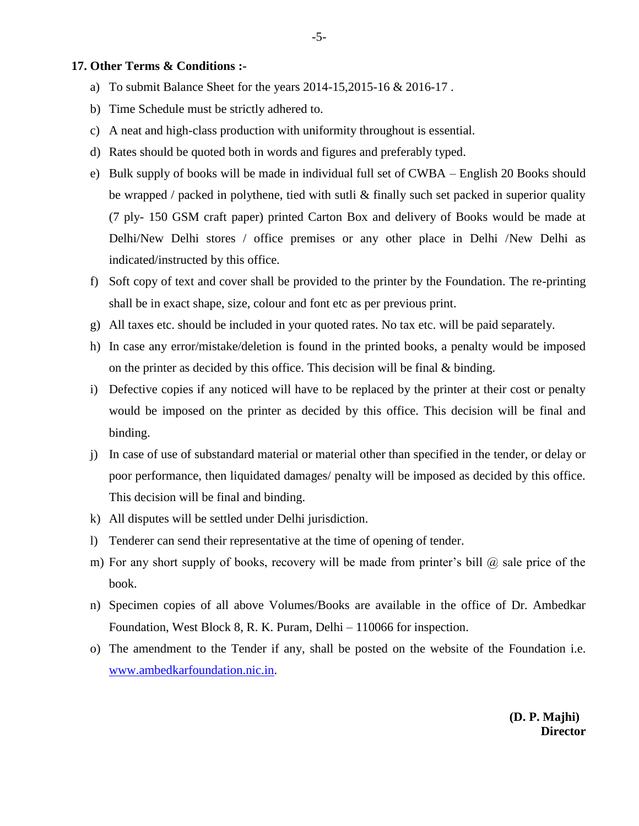#### **17. Other Terms & Conditions :-**

- a) To submit Balance Sheet for the years 2014-15,2015-16 & 2016-17 .
- b) Time Schedule must be strictly adhered to.
- c) A neat and high-class production with uniformity throughout is essential.
- d) Rates should be quoted both in words and figures and preferably typed.
- e) Bulk supply of books will be made in individual full set of CWBA English 20 Books should be wrapped / packed in polythene, tied with sutli & finally such set packed in superior quality (7 ply- 150 GSM craft paper) printed Carton Box and delivery of Books would be made at Delhi/New Delhi stores / office premises or any other place in Delhi /New Delhi as indicated/instructed by this office.
- f) Soft copy of text and cover shall be provided to the printer by the Foundation. The re-printing shall be in exact shape, size, colour and font etc as per previous print.
- g) All taxes etc. should be included in your quoted rates. No tax etc. will be paid separately.
- h) In case any error/mistake/deletion is found in the printed books, a penalty would be imposed on the printer as decided by this office. This decision will be final & binding.
- i) Defective copies if any noticed will have to be replaced by the printer at their cost or penalty would be imposed on the printer as decided by this office. This decision will be final and binding.
- j) In case of use of substandard material or material other than specified in the tender, or delay or poor performance, then liquidated damages/ penalty will be imposed as decided by this office. This decision will be final and binding.
- k) All disputes will be settled under Delhi jurisdiction.
- l) Tenderer can send their representative at the time of opening of tender.
- m) For any short supply of books, recovery will be made from printer's bill  $\omega$  sale price of the book.
- n) Specimen copies of all above Volumes/Books are available in the office of Dr. Ambedkar Foundation, West Block 8, R. K. Puram, Delhi – 110066 for inspection.
- o) The amendment to the Tender if any, shall be posted on the website of the Foundation i.e. [www.ambedkarfoundation.nic.in.](http://www.ambedkarfoundation.nic.in/)

**(D. P. Majhi) Director**